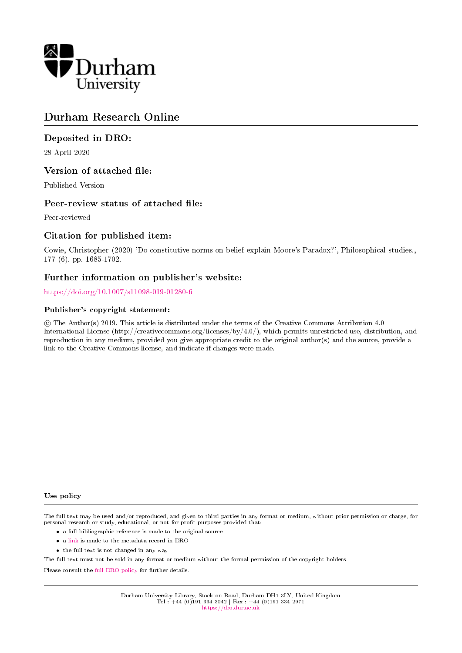

# Durham Research Online

# Deposited in DRO:

28 April 2020

## Version of attached file:

Published Version

## Peer-review status of attached file:

Peer-reviewed

## Citation for published item:

Cowie, Christopher (2020) 'Do constitutive norms on belief explain Moore's Paradox?', Philosophical studies., 177 (6). pp. 1685-1702.

# Further information on publisher's website:

<https://doi.org/10.1007/s11098-019-01280-6>

## Publisher's copyright statement:

 c The Author(s) 2019. This article is distributed under the terms of the Creative Commons Attribution 4.0 International License (http://creativecommons.org/licenses/by/4.0/), which permits unrestricted use, distribution, and reproduction in any medium, provided you give appropriate credit to the original author(s) and the source, provide a link to the Creative Commons license, and indicate if changes were made.

#### Use policy

The full-text may be used and/or reproduced, and given to third parties in any format or medium, without prior permission or charge, for personal research or study, educational, or not-for-profit purposes provided that:

- a full bibliographic reference is made to the original source
- a [link](http://dro.dur.ac.uk/27584/) is made to the metadata record in DRO
- the full-text is not changed in any way

The full-text must not be sold in any format or medium without the formal permission of the copyright holders.

Please consult the [full DRO policy](https://dro.dur.ac.uk/policies/usepolicy.pdf) for further details.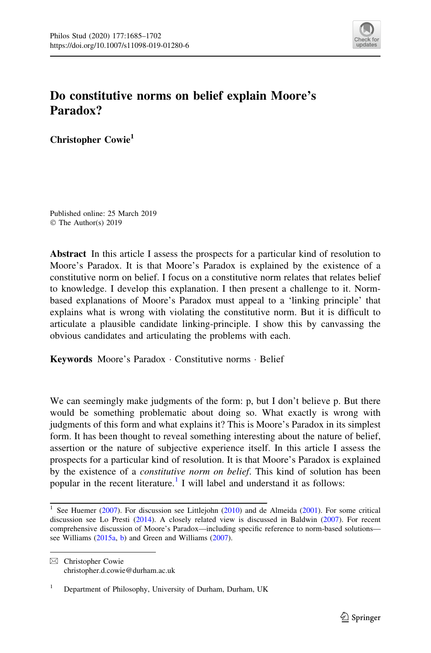

# Do constitutive norms on belief explain Moore's Paradox?

Christopher Cowie<sup>1</sup>

Published online: 25 March 2019 © The Author(s) 2019

Abstract In this article I assess the prospects for a particular kind of resolution to Moore's Paradox. It is that Moore's Paradox is explained by the existence of a constitutive norm on belief. I focus on a constitutive norm relates that relates belief to knowledge. I develop this explanation. I then present a challenge to it. Normbased explanations of Moore's Paradox must appeal to a 'linking principle' that explains what is wrong with violating the constitutive norm. But it is difficult to articulate a plausible candidate linking-principle. I show this by canvassing the obvious candidates and articulating the problems with each.

Keywords Moore's Paradox - Constitutive norms - Belief

We can seemingly make judgments of the form: p, but I don't believe p. But there would be something problematic about doing so. What exactly is wrong with judgments of this form and what explains it? This is Moore's Paradox in its simplest form. It has been thought to reveal something interesting about the nature of belief, assertion or the nature of subjective experience itself. In this article I assess the prospects for a particular kind of resolution. It is that Moore's Paradox is explained by the existence of a *constitutive norm on belief*. This kind of solution has been popular in the recent literature.<sup>1</sup> I will label and understand it as follows:

<sup>&</sup>lt;sup>1</sup> See Huemer ([2007\)](#page-17-0). For discussion see Littlejohn [\(2010](#page-17-0)) and de Almeida [\(2001](#page-17-0)). For some critical discussion see Lo Presti ([2014\)](#page-17-0). A closely related view is discussed in Baldwin ([2007\)](#page-17-0). For recent comprehensive discussion of Moore's Paradox—including specific reference to norm-based solutions see Williams [\(2015a,](#page-18-0) [b\)](#page-18-0) and Green and Williams ([2007\)](#page-17-0).

 $\boxtimes$  Christopher Cowie christopher.d.cowie@durham.ac.uk

<sup>&</sup>lt;sup>1</sup> Department of Philosophy, University of Durham, Durham, UK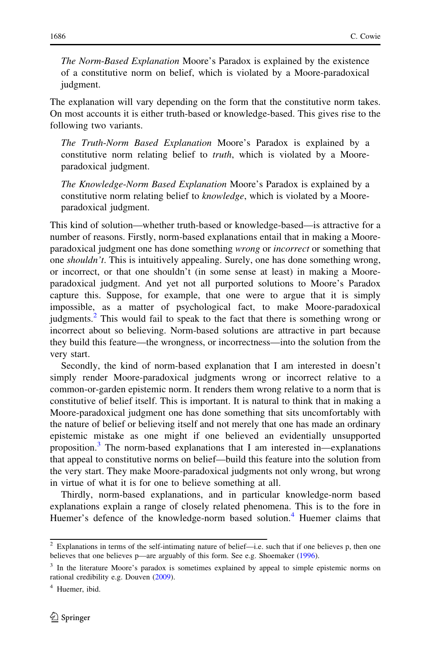The Norm-Based Explanation Moore's Paradox is explained by the existence of a constitutive norm on belief, which is violated by a Moore-paradoxical judgment.

The explanation will vary depending on the form that the constitutive norm takes. On most accounts it is either truth-based or knowledge-based. This gives rise to the following two variants.

The Truth-Norm Based Explanation Moore's Paradox is explained by a constitutive norm relating belief to truth, which is violated by a Mooreparadoxical judgment.

The Knowledge-Norm Based Explanation Moore's Paradox is explained by a constitutive norm relating belief to knowledge, which is violated by a Mooreparadoxical judgment.

This kind of solution—whether truth-based or knowledge-based—is attractive for a number of reasons. Firstly, norm-based explanations entail that in making a Mooreparadoxical judgment one has done something wrong or incorrect or something that one shouldn't. This is intuitively appealing. Surely, one has done something wrong, or incorrect, or that one shouldn't (in some sense at least) in making a Mooreparadoxical judgment. And yet not all purported solutions to Moore's Paradox capture this. Suppose, for example, that one were to argue that it is simply impossible, as a matter of psychological fact, to make Moore-paradoxical judgments.<sup>2</sup> This would fail to speak to the fact that there is something wrong or incorrect about so believing. Norm-based solutions are attractive in part because they build this feature—the wrongness, or incorrectness—into the solution from the very start.

Secondly, the kind of norm-based explanation that I am interested in doesn't simply render Moore-paradoxical judgments wrong or incorrect relative to a common-or-garden epistemic norm. It renders them wrong relative to a norm that is constitutive of belief itself. This is important. It is natural to think that in making a Moore-paradoxical judgment one has done something that sits uncomfortably with the nature of belief or believing itself and not merely that one has made an ordinary epistemic mistake as one might if one believed an evidentially unsupported proposition.<sup>3</sup> The norm-based explanations that I am interested in—explanations that appeal to constitutive norms on belief—build this feature into the solution from the very start. They make Moore-paradoxical judgments not only wrong, but wrong in virtue of what it is for one to believe something at all.

Thirdly, norm-based explanations, and in particular knowledge-norm based explanations explain a range of closely related phenomena. This is to the fore in Huemer's defence of the knowledge-norm based solution.<sup>4</sup> Huemer claims that

<sup>&</sup>lt;sup>2</sup> Explanations in terms of the self-intimating nature of belief—i.e. such that if one believes p, then one believes that one believes p—are arguably of this form. See e.g. Shoemaker [\(1996](#page-18-0)).

<sup>&</sup>lt;sup>3</sup> In the literature Moore's paradox is sometimes explained by appeal to simple epistemic norms on rational credibility e.g. Douven [\(2009](#page-17-0)).

<sup>&</sup>lt;sup>4</sup> Huemer, ibid.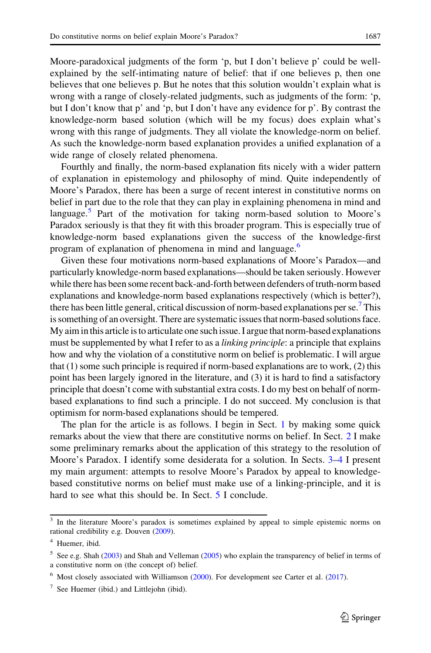Moore-paradoxical judgments of the form 'p, but I don't believe p' could be wellexplained by the self-intimating nature of belief: that if one believes p, then one believes that one believes p. But he notes that this solution wouldn't explain what is wrong with a range of closely-related judgments, such as judgments of the form: 'p, but I don't know that p' and 'p, but I don't have any evidence for p'. By contrast the knowledge-norm based solution (which will be my focus) does explain what's wrong with this range of judgments. They all violate the knowledge-norm on belief. As such the knowledge-norm based explanation provides a unified explanation of a wide range of closely related phenomena.

Fourthly and finally, the norm-based explanation fits nicely with a wider pattern of explanation in epistemology and philosophy of mind. Quite independently of Moore's Paradox, there has been a surge of recent interest in constitutive norms on belief in part due to the role that they can play in explaining phenomena in mind and language.<sup>5</sup> Part of the motivation for taking norm-based solution to Moore's Paradox seriously is that they fit with this broader program. This is especially true of knowledge-norm based explanations given the success of the knowledge-first program of explanation of phenomena in mind and language.<sup>6</sup>

Given these four motivations norm-based explanations of Moore's Paradox—and particularly knowledge-norm based explanations—should be taken seriously. However while there has been some recent back-and-forth between defenders of truth-norm based explanations and knowledge-norm based explanations respectively (which is better?), there has been little general, critical discussion of norm-based explanations per se.<sup>7</sup> This is something of an oversight. There are systematic issues that norm-based solutions face. My aim in this article is to articulate one such issue. I argue that norm-based explanations must be supplemented by what I refer to as a *linking principle*: a principle that explains how and why the violation of a constitutive norm on belief is problematic. I will argue that (1) some such principle is required if norm-based explanations are to work, (2) this point has been largely ignored in the literature, and (3) it is hard to find a satisfactory principle that doesn't come with substantial extra costs. I do my best on behalf of normbased explanations to find such a principle. I do not succeed. My conclusion is that optimism for norm-based explanations should be tempered.

The plan for the article is as follows. I begin in Sect. [1](#page-4-0) by making some quick remarks about the view that there are constitutive norms on belief. In Sect. [2](#page-5-0) I make some preliminary remarks about the application of this strategy to the resolution of Moore's Paradox. I identify some desiderata for a solution. In Sects. [3–](#page-7-0)[4](#page-13-0) I present my main argument: attempts to resolve Moore's Paradox by appeal to knowledgebased constitutive norms on belief must make use of a linking-principle, and it is hard to see what this should be. In Sect. [5](#page-16-0) I conclude.

<sup>&</sup>lt;sup>3</sup> In the literature Moore's paradox is sometimes explained by appeal to simple epistemic norms on rational credibility e.g. Douven [\(2009](#page-17-0)).

<sup>4</sup> Huemer, ibid.

<sup>5</sup> See e.g. Shah ([2003\)](#page-18-0) and Shah and Velleman ([2005\)](#page-18-0) who explain the transparency of belief in terms of a constitutive norm on (the concept of) belief.

 $6$  Most closely associated with Williamson ([2000\)](#page-18-0). For development see Carter et al. ([2017\)](#page-17-0).

 $7$  See Huemer (ibid.) and Littlejohn (ibid).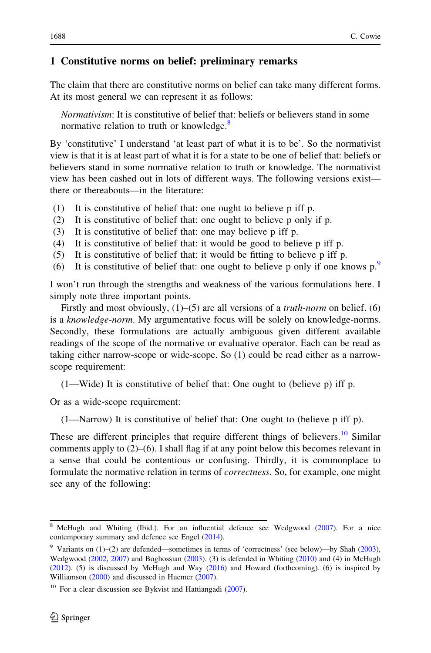### <span id="page-4-0"></span>1 Constitutive norms on belief: preliminary remarks

The claim that there are constitutive norms on belief can take many different forms. At its most general we can represent it as follows:

Normativism: It is constitutive of belief that: beliefs or believers stand in some normative relation to truth or knowledge.<sup>8</sup>

By 'constitutive' I understand 'at least part of what it is to be'. So the normativist view is that it is at least part of what it is for a state to be one of belief that: beliefs or believers stand in some normative relation to truth or knowledge. The normativist view has been cashed out in lots of different ways. The following versions exist there or thereabouts—in the literature:

- (1) It is constitutive of belief that: one ought to believe p iff p.
- (2) It is constitutive of belief that: one ought to believe p only if p.
- (3) It is constitutive of belief that: one may believe p iff p.
- (4) It is constitutive of belief that: it would be good to believe p iff p.
- (5) It is constitutive of belief that: it would be fitting to believe p iff p.
- (6) It is constitutive of belief that: one ought to believe p only if one knows  $p^9$ .

I won't run through the strengths and weakness of the various formulations here. I simply note three important points.

Firstly and most obviously,  $(1)$ – $(5)$  are all versions of a *truth-norm* on belief. (6) is a knowledge-norm. My argumentative focus will be solely on knowledge-norms. Secondly, these formulations are actually ambiguous given different available readings of the scope of the normative or evaluative operator. Each can be read as taking either narrow-scope or wide-scope. So (1) could be read either as a narrowscope requirement:

 $(1$ —Wide) It is constitutive of belief that: One ought to (believe p) iff p.

Or as a wide-scope requirement:

(1—Narrow) It is constitutive of belief that: One ought to (believe p iff p).

These are different principles that require different things of believers.<sup>10</sup> Similar comments apply to (2)–(6). I shall flag if at any point below this becomes relevant in a sense that could be contentious or confusing. Thirdly, it is commonplace to formulate the normative relation in terms of correctness. So, for example, one might see any of the following:

<sup>8</sup> McHugh and Whiting (Ibid.). For an influential defence see Wedgwood [\(2007\)](#page-18-0). For a nice contemporary summary and defence see Engel ([2014\)](#page-17-0).

<sup>&</sup>lt;sup>9</sup> Variants on  $(1)$ –(2) are defended—sometimes in terms of 'correctness' (see below)—by Shah ([2003\)](#page-18-0), Wedgwood ([2002,](#page-18-0) [2007](#page-18-0)) and Boghossian [\(2003](#page-17-0)). (3) is defended in Whiting ([2010\)](#page-18-0) and (4) in McHugh ([2012\)](#page-18-0). (5) is discussed by McHugh and Way [\(2016\)](#page-18-0) and Howard (forthcoming). (6) is inspired by Williamson ([2000](#page-18-0)) and discussed in Huemer ([2007\)](#page-17-0).

 $10$  For a clear discussion see Bykvist and Hattiangadi ([2007\)](#page-17-0).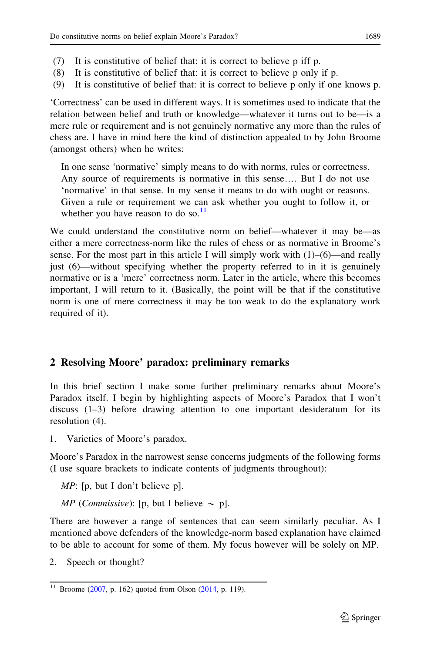- <span id="page-5-0"></span>(7) It is constitutive of belief that: it is correct to believe p iff p.
- (8) It is constitutive of belief that: it is correct to believe p only if p.
- (9) It is constitutive of belief that: it is correct to believe p only if one knows p.

'Correctness' can be used in different ways. It is sometimes used to indicate that the relation between belief and truth or knowledge—whatever it turns out to be—is a mere rule or requirement and is not genuinely normative any more than the rules of chess are. I have in mind here the kind of distinction appealed to by John Broome (amongst others) when he writes:

In one sense 'normative' simply means to do with norms, rules or correctness. Any source of requirements is normative in this sense…. But I do not use 'normative' in that sense. In my sense it means to do with ought or reasons. Given a rule or requirement we can ask whether you ought to follow it, or whether you have reason to do so. $^{11}$ 

We could understand the constitutive norm on belief—whatever it may be—as either a mere correctness-norm like the rules of chess or as normative in Broome's sense. For the most part in this article I will simply work with  $(1)$ – $(6)$ —and really just (6)—without specifying whether the property referred to in it is genuinely normative or is a 'mere' correctness norm. Later in the article, where this becomes important, I will return to it. (Basically, the point will be that if the constitutive norm is one of mere correctness it may be too weak to do the explanatory work required of it).

## 2 Resolving Moore' paradox: preliminary remarks

In this brief section I make some further preliminary remarks about Moore's Paradox itself. I begin by highlighting aspects of Moore's Paradox that I won't discuss  $(1-3)$  before drawing attention to one important desideratum for its resolution (4).

1. Varieties of Moore's paradox.

Moore's Paradox in the narrowest sense concerns judgments of the following forms (I use square brackets to indicate contents of judgments throughout):

- MP: [p, but I don't believe p].
- *MP* (*Commissive*): [p, but I believe  $\sim$  p].

There are however a range of sentences that can seem similarly peculiar. As I mentioned above defenders of the knowledge-norm based explanation have claimed to be able to account for some of them. My focus however will be solely on MP.

2. Speech or thought?

<sup>&</sup>lt;sup>11</sup> Broome ([2007,](#page-17-0) p. 162) quoted from Olson [\(2014,](#page-18-0) p. 119).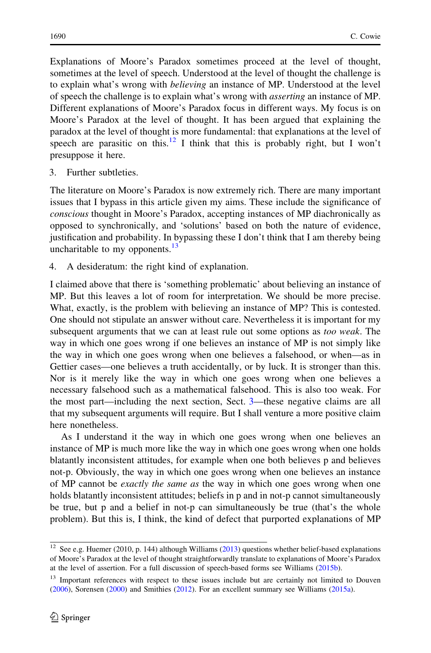Explanations of Moore's Paradox sometimes proceed at the level of thought, sometimes at the level of speech. Understood at the level of thought the challenge is to explain what's wrong with *believing* an instance of MP. Understood at the level of speech the challenge is to explain what's wrong with asserting an instance of MP. Different explanations of Moore's Paradox focus in different ways. My focus is on Moore's Paradox at the level of thought. It has been argued that explaining the paradox at the level of thought is more fundamental: that explanations at the level of speech are parasitic on this.<sup>12</sup> I think that this is probably right, but I won't presuppose it here.

3. Further subtleties.

The literature on Moore's Paradox is now extremely rich. There are many important issues that I bypass in this article given my aims. These include the significance of conscious thought in Moore's Paradox, accepting instances of MP diachronically as opposed to synchronically, and 'solutions' based on both the nature of evidence, justification and probability. In bypassing these I don't think that I am thereby being uncharitable to my opponents. $13$ 

4. A desideratum: the right kind of explanation.

I claimed above that there is 'something problematic' about believing an instance of MP. But this leaves a lot of room for interpretation. We should be more precise. What, exactly, is the problem with believing an instance of MP? This is contested. One should not stipulate an answer without care. Nevertheless it is important for my subsequent arguments that we can at least rule out some options as *too weak*. The way in which one goes wrong if one believes an instance of MP is not simply like the way in which one goes wrong when one believes a falsehood, or when—as in Gettier cases—one believes a truth accidentally, or by luck. It is stronger than this. Nor is it merely like the way in which one goes wrong when one believes a necessary falsehood such as a mathematical falsehood. This is also too weak. For the most part—including the next section, Sect. [3—](#page-7-0)these negative claims are all that my subsequent arguments will require. But I shall venture a more positive claim here nonetheless.

As I understand it the way in which one goes wrong when one believes an instance of MP is much more like the way in which one goes wrong when one holds blatantly inconsistent attitudes, for example when one both believes p and believes not-p. Obviously, the way in which one goes wrong when one believes an instance of MP cannot be *exactly the same as* the way in which one goes wrong when one holds blatantly inconsistent attitudes; beliefs in p and in not-p cannot simultaneously be true, but p and a belief in not-p can simultaneously be true (that's the whole problem). But this is, I think, the kind of defect that purported explanations of MP

<sup>&</sup>lt;sup>12</sup> See e.g. Huemer (2010, p. 144) although Williams ([2013\)](#page-18-0) questions whether belief-based explanations of Moore's Paradox at the level of thought straightforwardly translate to explanations of Moore's Paradox at the level of assertion. For a full discussion of speech-based forms see Williams ([2015b\)](#page-18-0).

<sup>&</sup>lt;sup>13</sup> Important references with respect to these issues include but are certainly not limited to Douven ([2006\)](#page-17-0), Sorensen [\(2000](#page-18-0)) and Smithies ([2012\)](#page-18-0). For an excellent summary see Williams [\(2015a\)](#page-18-0).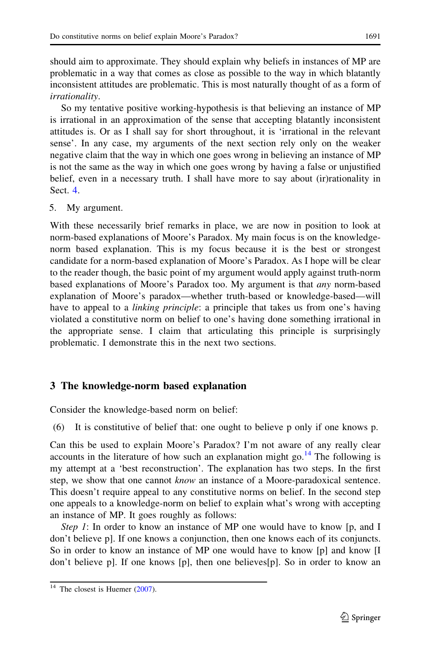<span id="page-7-0"></span>should aim to approximate. They should explain why beliefs in instances of MP are problematic in a way that comes as close as possible to the way in which blatantly inconsistent attitudes are problematic. This is most naturally thought of as a form of irrationality.

So my tentative positive working-hypothesis is that believing an instance of MP is irrational in an approximation of the sense that accepting blatantly inconsistent attitudes is. Or as I shall say for short throughout, it is 'irrational in the relevant sense'. In any case, my arguments of the next section rely only on the weaker negative claim that the way in which one goes wrong in believing an instance of MP is not the same as the way in which one goes wrong by having a false or unjustified belief, even in a necessary truth. I shall have more to say about (ir)rationality in Sect. [4](#page-13-0).

5. My argument.

With these necessarily brief remarks in place, we are now in position to look at norm-based explanations of Moore's Paradox. My main focus is on the knowledgenorm based explanation. This is my focus because it is the best or strongest candidate for a norm-based explanation of Moore's Paradox. As I hope will be clear to the reader though, the basic point of my argument would apply against truth-norm based explanations of Moore's Paradox too. My argument is that any norm-based explanation of Moore's paradox—whether truth-based or knowledge-based—will have to appeal to a *linking principle*: a principle that takes us from one's having violated a constitutive norm on belief to one's having done something irrational in the appropriate sense. I claim that articulating this principle is surprisingly problematic. I demonstrate this in the next two sections.

### 3 The knowledge-norm based explanation

Consider the knowledge-based norm on belief:

(6) It is constitutive of belief that: one ought to believe p only if one knows p.

Can this be used to explain Moore's Paradox? I'm not aware of any really clear accounts in the literature of how such an explanation might go.<sup>14</sup> The following is my attempt at a 'best reconstruction'. The explanation has two steps. In the first step, we show that one cannot *know* an instance of a Moore-paradoxical sentence. This doesn't require appeal to any constitutive norms on belief. In the second step one appeals to a knowledge-norm on belief to explain what's wrong with accepting an instance of MP. It goes roughly as follows:

Step 1: In order to know an instance of MP one would have to know [p, and I don't believe p]. If one knows a conjunction, then one knows each of its conjuncts. So in order to know an instance of MP one would have to know [p] and know [I don't believe p]. If one knows [p], then one believes[p]. So in order to know an

 $14$  The closest is Huemer [\(2007](#page-17-0)).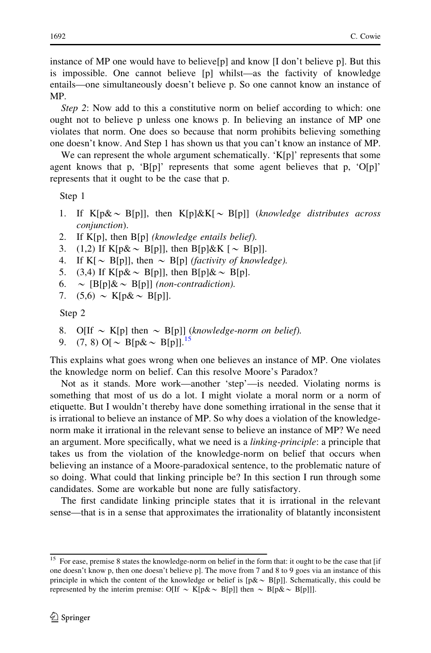instance of MP one would have to believe[p] and know [I don't believe p]. But this is impossible. One cannot believe [p] whilst—as the factivity of knowledge entails—one simultaneously doesn't believe p. So one cannot know an instance of MP.

Step 2: Now add to this a constitutive norm on belief according to which: one ought not to believe p unless one knows p. In believing an instance of MP one violates that norm. One does so because that norm prohibits believing something one doesn't know. And Step 1 has shown us that you can't know an instance of MP.

We can represent the whole argument schematically.  $K[p]$  represents that some agent knows that p, 'B[p]' represents that some agent believes that p, 'O[p]' represents that it ought to be the case that p.

Step 1

- 1. If K[p&  $\sim$  B[p]], then K[p]&K[ $\sim$  B[p]] (knowledge distributes across conjunction).
- 2. If  $K[p]$ , then  $B[p]$  (knowledge entails belief).
- 3. (1,2) If K[p&  $\sim$  B[p]], then B[p]&K [ $\sim$  B[p]].
- 4. If  $K[\sim B[p]]$ , then  $\sim B[p]$  (factivity of knowledge).
- 5. (3,4) If K[p&  $\sim$  B[p]], then B[p]&  $\sim$  B[p].
- 6.  $\sim$  [B[p]&  $\sim$  B[p]] (non-contradiction).
- 7.  $(5,6) \sim K[p\& \sim B[p]].$

Step 2

- 8. O[If  $\sim$  K[p] then  $\sim$  B[p]] (knowledge-norm on belief).
- 9. (7, 8) O[ $\sim$  B[p& $\sim$  B[p]].<sup>15</sup>

This explains what goes wrong when one believes an instance of MP. One violates the knowledge norm on belief. Can this resolve Moore's Paradox?

Not as it stands. More work—another 'step'—is needed. Violating norms is something that most of us do a lot. I might violate a moral norm or a norm of etiquette. But I wouldn't thereby have done something irrational in the sense that it is irrational to believe an instance of MP. So why does a violation of the knowledgenorm make it irrational in the relevant sense to believe an instance of MP? We need an argument. More specifically, what we need is a *linking-principle*: a principle that takes us from the violation of the knowledge-norm on belief that occurs when believing an instance of a Moore-paradoxical sentence, to the problematic nature of so doing. What could that linking principle be? In this section I run through some candidates. Some are workable but none are fully satisfactory.

The first candidate linking principle states that it is irrational in the relevant sense—that is in a sense that approximates the irrationality of blatantly inconsistent

<sup>&</sup>lt;sup>15</sup> For ease, premise 8 states the knowledge-norm on belief in the form that: it ought to be the case that [if one doesn't know p, then one doesn't believe p]. The move from 7 and 8 to 9 goes via an instance of this principle in which the content of the knowledge or belief is  $[p< B[p]]$ . Schematically, this could be represented by the interim premise: O[If  $\sim$  K[p& $\sim$  B[p]] then  $\sim$  B[p& $\sim$  B[p]]].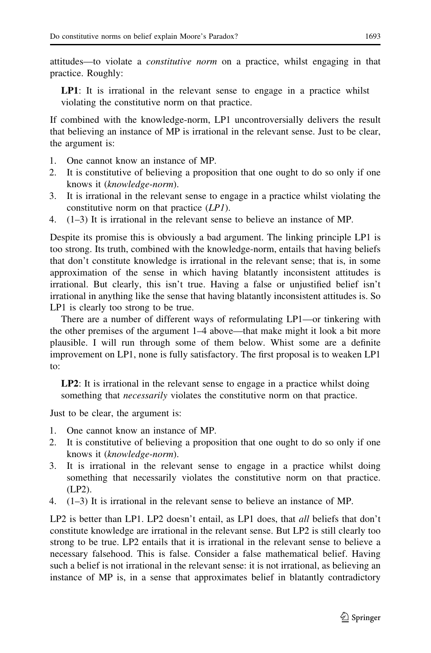attitudes—to violate a constitutive norm on a practice, whilst engaging in that practice. Roughly:

LP1: It is irrational in the relevant sense to engage in a practice whilst violating the constitutive norm on that practice.

If combined with the knowledge-norm, LP1 uncontroversially delivers the result that believing an instance of MP is irrational in the relevant sense. Just to be clear, the argument is:

- 1. One cannot know an instance of MP.
- 2. It is constitutive of believing a proposition that one ought to do so only if one knows it (knowledge-norm).
- 3. It is irrational in the relevant sense to engage in a practice whilst violating the constitutive norm on that practice (LP1).
- 4. (1–3) It is irrational in the relevant sense to believe an instance of MP.

Despite its promise this is obviously a bad argument. The linking principle LP1 is too strong. Its truth, combined with the knowledge-norm, entails that having beliefs that don't constitute knowledge is irrational in the relevant sense; that is, in some approximation of the sense in which having blatantly inconsistent attitudes is irrational. But clearly, this isn't true. Having a false or unjustified belief isn't irrational in anything like the sense that having blatantly inconsistent attitudes is. So LP1 is clearly too strong to be true.

There are a number of different ways of reformulating LP1—or tinkering with the other premises of the argument 1–4 above—that make might it look a bit more plausible. I will run through some of them below. Whist some are a definite improvement on LP1, none is fully satisfactory. The first proposal is to weaken LP1 to:

LP2: It is irrational in the relevant sense to engage in a practice whilst doing something that *necessarily* violates the constitutive norm on that practice.

Just to be clear, the argument is:

- 1. One cannot know an instance of MP.
- 2. It is constitutive of believing a proposition that one ought to do so only if one knows it (knowledge-norm).
- 3. It is irrational in the relevant sense to engage in a practice whilst doing something that necessarily violates the constitutive norm on that practice. (LP2).
- 4. (1–3) It is irrational in the relevant sense to believe an instance of MP.

LP2 is better than LP1. LP2 doesn't entail, as LP1 does, that *all* beliefs that don't constitute knowledge are irrational in the relevant sense. But LP2 is still clearly too strong to be true. LP2 entails that it is irrational in the relevant sense to believe a necessary falsehood. This is false. Consider a false mathematical belief. Having such a belief is not irrational in the relevant sense: it is not irrational, as believing an instance of MP is, in a sense that approximates belief in blatantly contradictory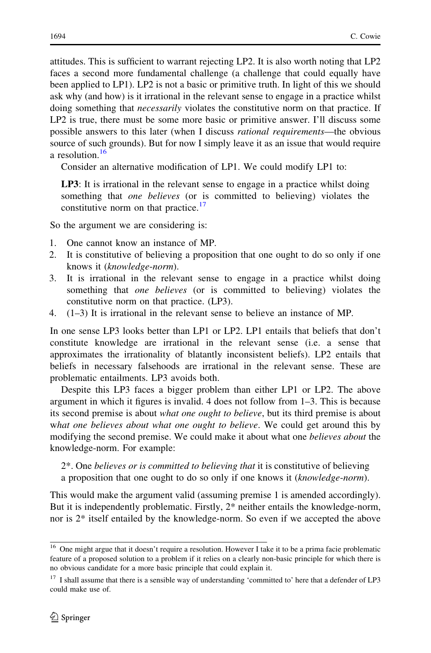attitudes. This is sufficient to warrant rejecting LP2. It is also worth noting that LP2 faces a second more fundamental challenge (a challenge that could equally have been applied to LP1). LP2 is not a basic or primitive truth. In light of this we should ask why (and how) is it irrational in the relevant sense to engage in a practice whilst doing something that *necessarily* violates the constitutive norm on that practice. If LP2 is true, there must be some more basic or primitive answer. I'll discuss some possible answers to this later (when I discuss rational requirements—the obvious source of such grounds). But for now I simply leave it as an issue that would require a resolution  $^{16}$ 

Consider an alternative modification of LP1. We could modify LP1 to:

LP3: It is irrational in the relevant sense to engage in a practice whilst doing something that one believes (or is committed to believing) violates the constitutive norm on that practice.<sup>17</sup>

So the argument we are considering is:

- 1. One cannot know an instance of MP.
- 2. It is constitutive of believing a proposition that one ought to do so only if one knows it (knowledge-norm).
- 3. It is irrational in the relevant sense to engage in a practice whilst doing something that one believes (or is committed to believing) violates the constitutive norm on that practice. (LP3).
- 4. (1–3) It is irrational in the relevant sense to believe an instance of MP.

In one sense LP3 looks better than LP1 or LP2. LP1 entails that beliefs that don't constitute knowledge are irrational in the relevant sense (i.e. a sense that approximates the irrationality of blatantly inconsistent beliefs). LP2 entails that beliefs in necessary falsehoods are irrational in the relevant sense. These are problematic entailments. LP3 avoids both.

Despite this LP3 faces a bigger problem than either LP1 or LP2. The above argument in which it figures is invalid. 4 does not follow from 1–3. This is because its second premise is about *what one ought to believe*, but its third premise is about what one believes about what one ought to believe. We could get around this by modifying the second premise. We could make it about what one *believes about* the knowledge-norm. For example:

 $2^*$ . One *believes or is committed to believing that it is constitutive of believing* a proposition that one ought to do so only if one knows it (knowledge-norm).

This would make the argument valid (assuming premise 1 is amended accordingly). But it is independently problematic. Firstly, 2\* neither entails the knowledge-norm, nor is 2\* itself entailed by the knowledge-norm. So even if we accepted the above

<sup>&</sup>lt;sup>16</sup> One might argue that it doesn't require a resolution. However I take it to be a prima facie problematic feature of a proposed solution to a problem if it relies on a clearly non-basic principle for which there is no obvious candidate for a more basic principle that could explain it.

<sup>&</sup>lt;sup>17</sup> I shall assume that there is a sensible way of understanding 'committed to' here that a defender of LP3 could make use of.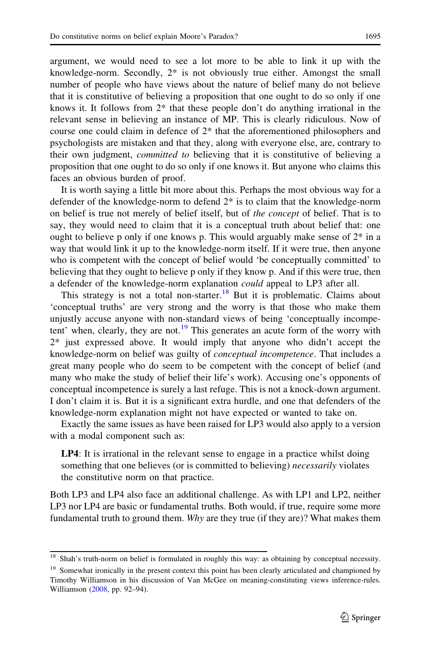argument, we would need to see a lot more to be able to link it up with the knowledge-norm. Secondly,  $2^*$  is not obviously true either. Amongst the small number of people who have views about the nature of belief many do not believe that it is constitutive of believing a proposition that one ought to do so only if one knows it. It follows from  $2^*$  that these people don't do anything irrational in the relevant sense in believing an instance of MP. This is clearly ridiculous. Now of course one could claim in defence of 2\* that the aforementioned philosophers and psychologists are mistaken and that they, along with everyone else, are, contrary to their own judgment, *committed to* believing that it is constitutive of believing a proposition that one ought to do so only if one knows it. But anyone who claims this faces an obvious burden of proof.

It is worth saying a little bit more about this. Perhaps the most obvious way for a defender of the knowledge-norm to defend 2\* is to claim that the knowledge-norm on belief is true not merely of belief itself, but of the concept of belief. That is to say, they would need to claim that it is a conceptual truth about belief that: one ought to believe p only if one knows p. This would arguably make sense of  $2^*$  in a way that would link it up to the knowledge-norm itself. If it were true, then anyone who is competent with the concept of belief would 'be conceptually committed' to believing that they ought to believe p only if they know p. And if this were true, then a defender of the knowledge-norm explanation *could* appeal to LP3 after all.

This strategy is not a total non-starter.<sup>18</sup> But it is problematic. Claims about 'conceptual truths' are very strong and the worry is that those who make them unjustly accuse anyone with non-standard views of being 'conceptually incompetent' when, clearly, they are not.<sup>19</sup> This generates an acute form of the worry with 2\* just expressed above. It would imply that anyone who didn't accept the knowledge-norm on belief was guilty of conceptual incompetence. That includes a great many people who do seem to be competent with the concept of belief (and many who make the study of belief their life's work). Accusing one's opponents of conceptual incompetence is surely a last refuge. This is not a knock-down argument. I don't claim it is. But it is a significant extra hurdle, and one that defenders of the knowledge-norm explanation might not have expected or wanted to take on.

Exactly the same issues as have been raised for LP3 would also apply to a version with a modal component such as:

LP4: It is irrational in the relevant sense to engage in a practice whilst doing something that one believes (or is committed to believing) *necessarily* violates the constitutive norm on that practice.

Both LP3 and LP4 also face an additional challenge. As with LP1 and LP2, neither LP3 nor LP4 are basic or fundamental truths. Both would, if true, require some more fundamental truth to ground them. Why are they true (if they are)? What makes them

<sup>&</sup>lt;sup>18</sup> Shah's truth-norm on belief is formulated in roughly this way: as obtaining by conceptual necessity.

<sup>&</sup>lt;sup>19</sup> Somewhat ironically in the present context this point has been clearly articulated and championed by Timothy Williamson in his discussion of Van McGee on meaning-constituting views inference-rules. Williamson ([2008](#page-18-0), pp. 92–94).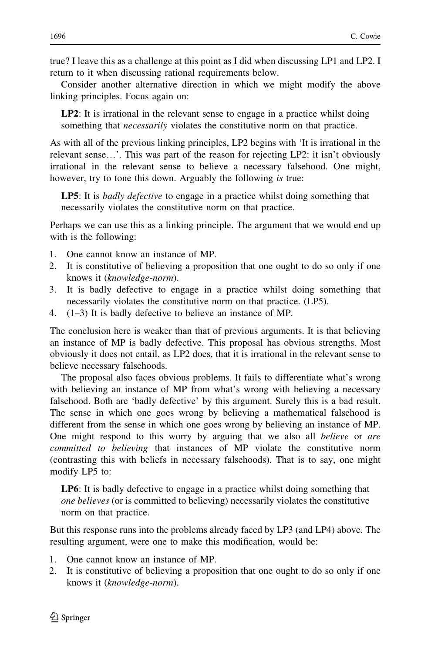true? I leave this as a challenge at this point as I did when discussing LP1 and LP2. I return to it when discussing rational requirements below.

Consider another alternative direction in which we might modify the above linking principles. Focus again on:

LP2: It is irrational in the relevant sense to engage in a practice whilst doing something that *necessarily* violates the constitutive norm on that practice.

As with all of the previous linking principles, LP2 begins with 'It is irrational in the relevant sense…'. This was part of the reason for rejecting LP2: it isn't obviously irrational in the relevant sense to believe a necessary falsehood. One might, however, try to tone this down. Arguably the following *is* true:

LP5: It is *badly defective* to engage in a practice whilst doing something that necessarily violates the constitutive norm on that practice.

Perhaps we can use this as a linking principle. The argument that we would end up with is the following:

- 1. One cannot know an instance of MP.
- 2. It is constitutive of believing a proposition that one ought to do so only if one knows it (knowledge-norm).
- 3. It is badly defective to engage in a practice whilst doing something that necessarily violates the constitutive norm on that practice. (LP5).
- 4. (1–3) It is badly defective to believe an instance of MP.

The conclusion here is weaker than that of previous arguments. It is that believing an instance of MP is badly defective. This proposal has obvious strengths. Most obviously it does not entail, as LP2 does, that it is irrational in the relevant sense to believe necessary falsehoods.

The proposal also faces obvious problems. It fails to differentiate what's wrong with believing an instance of MP from what's wrong with believing a necessary falsehood. Both are 'badly defective' by this argument. Surely this is a bad result. The sense in which one goes wrong by believing a mathematical falsehood is different from the sense in which one goes wrong by believing an instance of MP. One might respond to this worry by arguing that we also all *believe* or are committed to believing that instances of MP violate the constitutive norm (contrasting this with beliefs in necessary falsehoods). That is to say, one might modify LP5 to:

LP6: It is badly defective to engage in a practice whilst doing something that one believes (or is committed to believing) necessarily violates the constitutive norm on that practice.

But this response runs into the problems already faced by LP3 (and LP4) above. The resulting argument, were one to make this modification, would be:

- 1. One cannot know an instance of MP.
- 2. It is constitutive of believing a proposition that one ought to do so only if one knows it (knowledge-norm).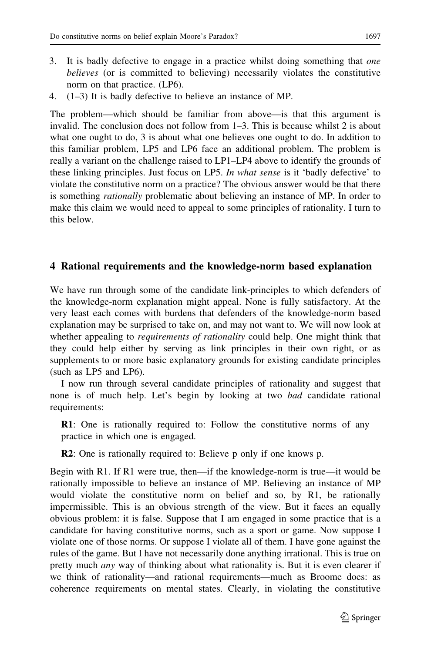- <span id="page-13-0"></span>3. It is badly defective to engage in a practice whilst doing something that one believes (or is committed to believing) necessarily violates the constitutive norm on that practice. (LP6).
- 4. (1–3) It is badly defective to believe an instance of MP.

The problem—which should be familiar from above—is that this argument is invalid. The conclusion does not follow from 1–3. This is because whilst 2 is about what one ought to do, 3 is about what one believes one ought to do. In addition to this familiar problem, LP5 and LP6 face an additional problem. The problem is really a variant on the challenge raised to LP1–LP4 above to identify the grounds of these linking principles. Just focus on LP5. In what sense is it 'badly defective' to violate the constitutive norm on a practice? The obvious answer would be that there is something *rationally* problematic about believing an instance of MP. In order to make this claim we would need to appeal to some principles of rationality. I turn to this below.

### 4 Rational requirements and the knowledge-norm based explanation

We have run through some of the candidate link-principles to which defenders of the knowledge-norm explanation might appeal. None is fully satisfactory. At the very least each comes with burdens that defenders of the knowledge-norm based explanation may be surprised to take on, and may not want to. We will now look at whether appealing to *requirements of rationality* could help. One might think that they could help either by serving as link principles in their own right, or as supplements to or more basic explanatory grounds for existing candidate principles (such as LP5 and LP6).

I now run through several candidate principles of rationality and suggest that none is of much help. Let's begin by looking at two *bad* candidate rational requirements:

R1: One is rationally required to: Follow the constitutive norms of any practice in which one is engaged.

R2: One is rationally required to: Believe p only if one knows p.

Begin with R1. If R1 were true, then—if the knowledge-norm is true—it would be rationally impossible to believe an instance of MP. Believing an instance of MP would violate the constitutive norm on belief and so, by R1, be rationally impermissible. This is an obvious strength of the view. But it faces an equally obvious problem: it is false. Suppose that I am engaged in some practice that is a candidate for having constitutive norms, such as a sport or game. Now suppose I violate one of those norms. Or suppose I violate all of them. I have gone against the rules of the game. But I have not necessarily done anything irrational. This is true on pretty much *any* way of thinking about what rationality is. But it is even clearer if we think of rationality—and rational requirements—much as Broome does: as coherence requirements on mental states. Clearly, in violating the constitutive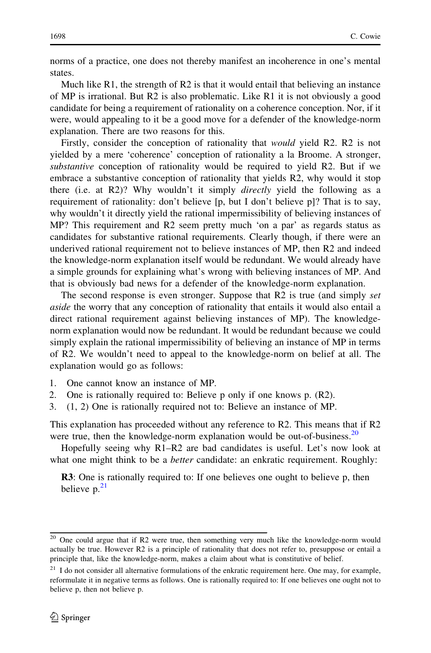norms of a practice, one does not thereby manifest an incoherence in one's mental states.

Much like  $R1$ , the strength of  $R2$  is that it would entail that believing an instance of MP is irrational. But R2 is also problematic. Like R1 it is not obviously a good candidate for being a requirement of rationality on a coherence conception. Nor, if it were, would appealing to it be a good move for a defender of the knowledge-norm explanation. There are two reasons for this.

Firstly, consider the conception of rationality that would yield R2. R2 is not yielded by a mere 'coherence' conception of rationality a la Broome. A stronger, substantive conception of rationality would be required to yield R2. But if we embrace a substantive conception of rationality that yields R2, why would it stop there (i.e. at R2)? Why wouldn't it simply *directly* yield the following as a requirement of rationality: don't believe [p, but I don't believe p]? That is to say, why wouldn't it directly yield the rational impermissibility of believing instances of MP? This requirement and R2 seem pretty much 'on a par' as regards status as candidates for substantive rational requirements. Clearly though, if there were an underived rational requirement not to believe instances of MP, then R2 and indeed the knowledge-norm explanation itself would be redundant. We would already have a simple grounds for explaining what's wrong with believing instances of MP. And that is obviously bad news for a defender of the knowledge-norm explanation.

The second response is even stronger. Suppose that R2 is true (and simply *set*) aside the worry that any conception of rationality that entails it would also entail a direct rational requirement against believing instances of MP). The knowledgenorm explanation would now be redundant. It would be redundant because we could simply explain the rational impermissibility of believing an instance of MP in terms of R2. We wouldn't need to appeal to the knowledge-norm on belief at all. The explanation would go as follows:

- 1. One cannot know an instance of MP.
- 2. One is rationally required to: Believe p only if one knows p. (R2).
- 3. (1, 2) One is rationally required not to: Believe an instance of MP.

This explanation has proceeded without any reference to R2. This means that if R2 were true, then the knowledge-norm explanation would be out-of-business.<sup>20</sup>

Hopefully seeing why R1–R2 are bad candidates is useful. Let's now look at what one might think to be a *better* candidate: an enkratic requirement. Roughly:

R3: One is rationally required to: If one believes one ought to believe p, then believe  $p^{21}$ 

 $20$  One could argue that if R2 were true, then something very much like the knowledge-norm would actually be true. However R2 is a principle of rationality that does not refer to, presuppose or entail a principle that, like the knowledge-norm, makes a claim about what is constitutive of belief.

<sup>&</sup>lt;sup>21</sup> I do not consider all alternative formulations of the enkratic requirement here. One may, for example, reformulate it in negative terms as follows. One is rationally required to: If one believes one ought not to believe p, then not believe p.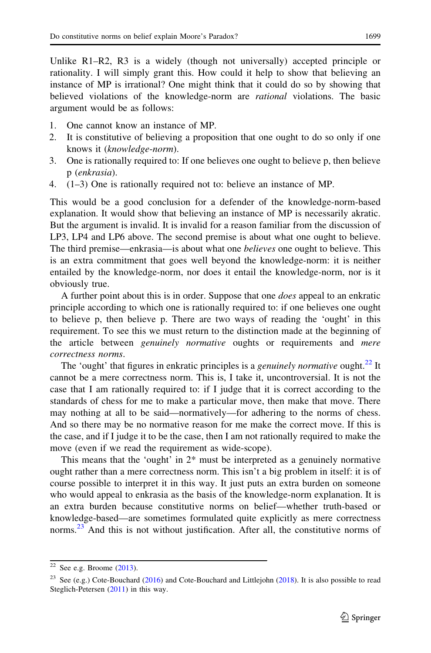Unlike R1–R2, R3 is a widely (though not universally) accepted principle or rationality. I will simply grant this. How could it help to show that believing an instance of MP is irrational? One might think that it could do so by showing that believed violations of the knowledge-norm are *rational* violations. The basic argument would be as follows:

- 1. One cannot know an instance of MP.
- 2. It is constitutive of believing a proposition that one ought to do so only if one knows it (knowledge-norm).
- 3. One is rationally required to: If one believes one ought to believe p, then believe p (enkrasia).
- 4. (1–3) One is rationally required not to: believe an instance of MP.

This would be a good conclusion for a defender of the knowledge-norm-based explanation. It would show that believing an instance of MP is necessarily akratic. But the argument is invalid. It is invalid for a reason familiar from the discussion of LP3, LP4 and LP6 above. The second premise is about what one ought to believe. The third premise—enkrasia—is about what one believes one ought to believe. This is an extra commitment that goes well beyond the knowledge-norm: it is neither entailed by the knowledge-norm, nor does it entail the knowledge-norm, nor is it obviously true.

A further point about this is in order. Suppose that one does appeal to an enkratic principle according to which one is rationally required to: if one believes one ought to believe p, then believe p. There are two ways of reading the 'ought' in this requirement. To see this we must return to the distinction made at the beginning of the article between genuinely normative oughts or requirements and mere correctness norms.

The 'ought' that figures in enkratic principles is a *genuinely normative* ought.<sup>22</sup> It cannot be a mere correctness norm. This is, I take it, uncontroversial. It is not the case that I am rationally required to: if I judge that it is correct according to the standards of chess for me to make a particular move, then make that move. There may nothing at all to be said—normatively—for adhering to the norms of chess. And so there may be no normative reason for me make the correct move. If this is the case, and if I judge it to be the case, then I am not rationally required to make the move (even if we read the requirement as wide-scope).

This means that the 'ought' in  $2^*$  must be interpreted as a genuinely normative ought rather than a mere correctness norm. This isn't a big problem in itself: it is of course possible to interpret it in this way. It just puts an extra burden on someone who would appeal to enkrasia as the basis of the knowledge-norm explanation. It is an extra burden because constitutive norms on belief—whether truth-based or knowledge-based—are sometimes formulated quite explicitly as mere correctness norms.<sup>23</sup> And this is not without justification. After all, the constitutive norms of

 $22$  See e.g. Broome [\(2013](#page-17-0)).

<sup>&</sup>lt;sup>23</sup> See (e.g.) Cote-Bouchard ( $2016$ ) and Cote-Bouchard and Littlejohn ( $2018$ ). It is also possible to read Steglich-Petersen [\(2011](#page-18-0)) in this way.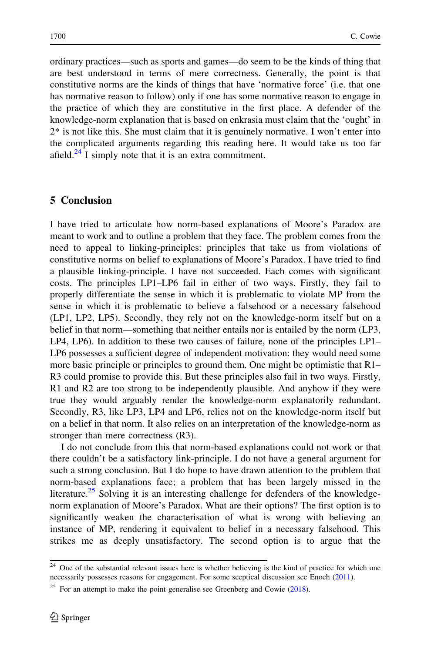<span id="page-16-0"></span>ordinary practices—such as sports and games—do seem to be the kinds of thing that are best understood in terms of mere correctness. Generally, the point is that constitutive norms are the kinds of things that have 'normative force' (i.e. that one has normative reason to follow) only if one has some normative reason to engage in the practice of which they are constitutive in the first place. A defender of the knowledge-norm explanation that is based on enkrasia must claim that the 'ought' in 2\* is not like this. She must claim that it is genuinely normative. I won't enter into the complicated arguments regarding this reading here. It would take us too far afield. $^{24}$  I simply note that it is an extra commitment.

### 5 Conclusion

I have tried to articulate how norm-based explanations of Moore's Paradox are meant to work and to outline a problem that they face. The problem comes from the need to appeal to linking-principles: principles that take us from violations of constitutive norms on belief to explanations of Moore's Paradox. I have tried to find a plausible linking-principle. I have not succeeded. Each comes with significant costs. The principles LP1–LP6 fail in either of two ways. Firstly, they fail to properly differentiate the sense in which it is problematic to violate MP from the sense in which it is problematic to believe a falsehood or a necessary falsehood (LP1, LP2, LP5). Secondly, they rely not on the knowledge-norm itself but on a belief in that norm—something that neither entails nor is entailed by the norm (LP3, LP4, LP6). In addition to these two causes of failure, none of the principles LP1– LP6 possesses a sufficient degree of independent motivation: they would need some more basic principle or principles to ground them. One might be optimistic that R1– R3 could promise to provide this. But these principles also fail in two ways. Firstly, R1 and R2 are too strong to be independently plausible. And anyhow if they were true they would arguably render the knowledge-norm explanatorily redundant. Secondly, R3, like LP3, LP4 and LP6, relies not on the knowledge-norm itself but on a belief in that norm. It also relies on an interpretation of the knowledge-norm as stronger than mere correctness (R3).

I do not conclude from this that norm-based explanations could not work or that there couldn't be a satisfactory link-principle. I do not have a general argument for such a strong conclusion. But I do hope to have drawn attention to the problem that norm-based explanations face; a problem that has been largely missed in the literature.<sup>25</sup> Solving it is an interesting challenge for defenders of the knowledgenorm explanation of Moore's Paradox. What are their options? The first option is to significantly weaken the characterisation of what is wrong with believing an instance of MP, rendering it equivalent to belief in a necessary falsehood. This strikes me as deeply unsatisfactory. The second option is to argue that the

<sup>&</sup>lt;sup>24</sup> One of the substantial relevant issues here is whether believing is the kind of practice for which one necessarily possesses reasons for engagement. For some sceptical discussion see Enoch ([2011\)](#page-17-0).

 $25$  For an attempt to make the point generalise see Greenberg and Cowie [\(2018](#page-17-0)).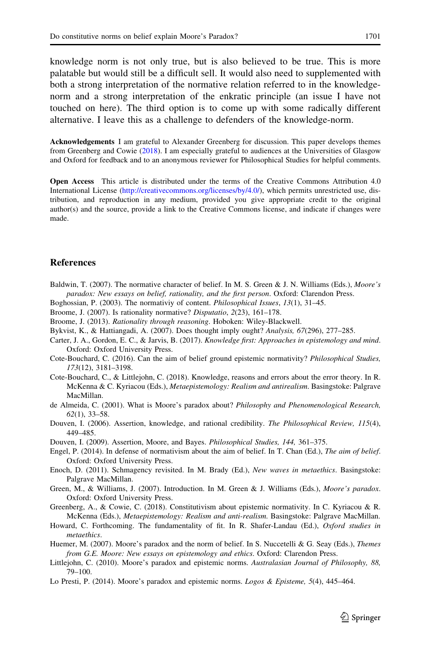<span id="page-17-0"></span>knowledge norm is not only true, but is also believed to be true. This is more palatable but would still be a difficult sell. It would also need to supplemented with both a strong interpretation of the normative relation referred to in the knowledgenorm and a strong interpretation of the enkratic principle (an issue I have not touched on here). The third option is to come up with some radically different alternative. I leave this as a challenge to defenders of the knowledge-norm.

Acknowledgements I am grateful to Alexander Greenberg for discussion. This paper develops themes from Greenberg and Cowie (2018). I am especially grateful to audiences at the Universities of Glasgow and Oxford for feedback and to an anonymous reviewer for Philosophical Studies for helpful comments.

Open Access This article is distributed under the terms of the Creative Commons Attribution 4.0 International License ([http://creativecommons.org/licenses/by/4.0/\)](http://creativecommons.org/licenses/by/4.0/), which permits unrestricted use, distribution, and reproduction in any medium, provided you give appropriate credit to the original author(s) and the source, provide a link to the Creative Commons license, and indicate if changes were made.

#### **References**

- Baldwin, T. (2007). The normative character of belief. In M. S. Green & J. N. Williams (Eds.), Moore's paradox: New essays on belief, rationality, and the first person. Oxford: Clarendon Press.
- Boghossian, P. (2003). The normativiy of content. Philosophical Issues, 13(1), 31–45.
- Broome, J. (2007). Is rationality normative? Disputatio, 2(23), 161–178.
- Broome, J. (2013). Rationality through reasoning. Hoboken: Wiley-Blackwell.
- Bykvist, K., & Hattiangadi, A. (2007). Does thought imply ought? Analysis, 67(296), 277–285.
- Carter, J. A., Gordon, E. C., & Jarvis, B. (2017). Knowledge first: Approaches in epistemology and mind. Oxford: Oxford University Press.
- Cote-Bouchard, C. (2016). Can the aim of belief ground epistemic normativity? Philosophical Studies, 173(12), 3181–3198.
- Cote-Bouchard, C., & Littlejohn, C. (2018). Knowledge, reasons and errors about the error theory. In R. McKenna & C. Kyriacou (Eds.), Metaepistemology: Realism and antirealism. Basingstoke: Palgrave MacMillan.
- de Almeida, C. (2001). What is Moore's paradox about? Philosophy and Phenomenological Research, 62(1), 33–58.
- Douven, I. (2006). Assertion, knowledge, and rational credibility. The Philosophical Review, 115(4), 449–485.
- Douven, I. (2009). Assertion, Moore, and Bayes. Philosophical Studies, 144, 361–375.
- Engel, P. (2014). In defense of normativism about the aim of belief. In T. Chan (Ed.), The aim of belief. Oxford: Oxford University Press.
- Enoch, D. (2011). Schmagency revisited. In M. Brady (Ed.), New waves in metaethics. Basingstoke: Palgrave MacMillan.
- Green, M., & Williams, J. (2007). Introduction. In M. Green & J. Williams (Eds.), Moore's paradox. Oxford: Oxford University Press.
- Greenberg, A., & Cowie, C. (2018). Constitutivism about epistemic normativity. In C. Kyriacou & R. McKenna (Eds.), Metaepistemology: Realism and anti-realism. Basingstoke: Palgrave MacMillan.
- Howard, C. Forthcoming. The fundamentality of fit. In R. Shafer-Landau (Ed.), Oxford studies in metaethics.
- Huemer, M. (2007). Moore's paradox and the norm of belief. In S. Nuccetelli & G. Seay (Eds.), Themes from G.E. Moore: New essays on epistemology and ethics. Oxford: Clarendon Press.
- Littlejohn, C. (2010). Moore's paradox and epistemic norms. Australasian Journal of Philosophy, 88, 79–100.
- Lo Presti, P. (2014). Moore's paradox and epistemic norms. Logos & Episteme, 5(4), 445-464.